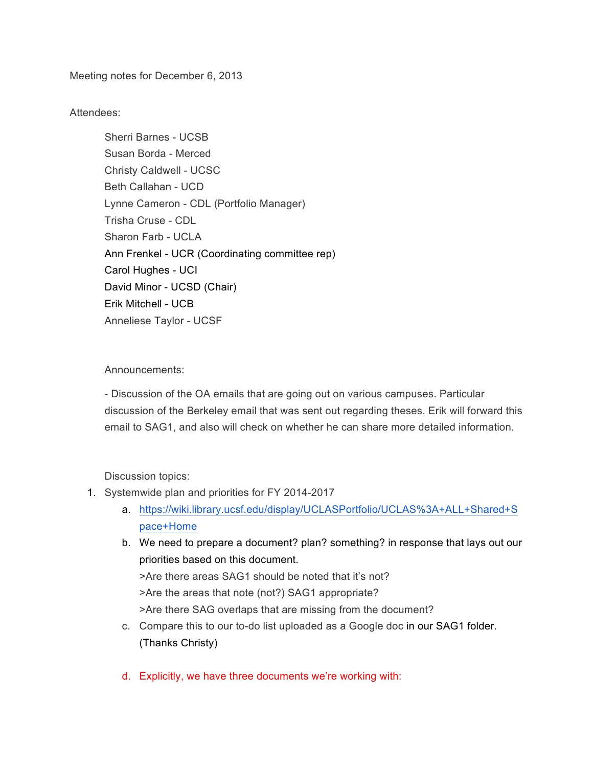Meeting notes for December 6, 2013

Attendees:

Sherri Barnes - UCSB Susan Borda - Merced Christy Caldwell - UCSC Beth Callahan - UCD Lynne Cameron - CDL (Portfolio Manager) Trisha Cruse - CDL Sharon Farb - UCLA Ann Frenkel - UCR (Coordinating committee rep) Carol Hughes - UCI David Minor - UCSD (Chair) Erik Mitchell - UCB Anneliese Taylor - UCSF

Announcements:

- Discussion of the OA emails that are going out on various campuses. Particular discussion of the Berkeley email that was sent out regarding theses. Erik will forward this email to SAG1, and also will check on whether he can share more detailed information.

Discussion topics:

- 1. Systemwide plan and priorities for FY 2014-2017
	- a. https://wiki.library.ucsf.edu/display/UCLASPortfolio/UCLAS%3A+ALL+Shared+S pace+Home
	- b. We need to prepare a document? plan? something? in response that lays out our priorities based on this document. >Are there areas SAG1 should be noted that it's not?

>Are the areas that note (not?) SAG1 appropriate?

>Are there SAG overlaps that are missing from the document?

- c. Compare this to our to-do list uploaded as a Google doc in our SAG1 folder. (Thanks Christy)
- d. Explicitly, we have three documents we're working with: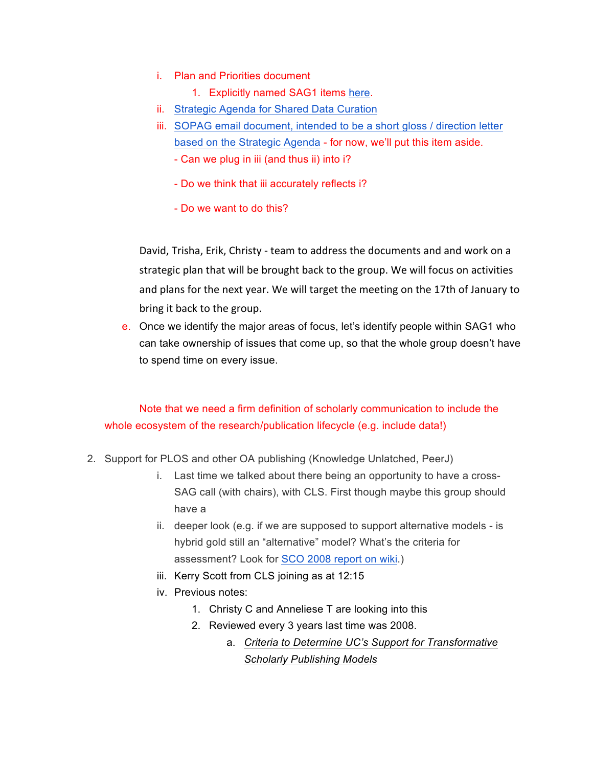- i. Plan and Priorities document
	- 1. Explicitly named SAG1 items here.
- ii. Strategic Agenda for Shared Data Curation
- iii. SOPAG email document, intended to be a short gloss / direction letter based on the Strategic Agenda - for now, we'll put this item aside.
	- Can we plug in iii (and thus ii) into i?
	- Do we think that iii accurately reflects i?
	- Do we want to do this?

David, Trisha, Erik, Christy - team to address the documents and and work on a strategic plan that will be brought back to the group. We will focus on activities and plans for the next year. We will target the meeting on the 17th of January to bring it back to the group.

e. Once we identify the major areas of focus, let's identify people within SAG1 who can take ownership of issues that come up, so that the whole group doesn't have to spend time on every issue.

## Note that we need a firm definition of scholarly communication to include the whole ecosystem of the research/publication lifecycle (e.g. include data!)

- 2. Support for PLOS and other OA publishing (Knowledge Unlatched, PeerJ)
	- i. Last time we talked about there being an opportunity to have a cross-SAG call (with chairs), with CLS. First though maybe this group should have a
	- ii. deeper look (e.g. if we are supposed to support alternative models is hybrid gold still an "alternative" model? What's the criteria for assessment? Look for SCO 2008 report on wiki.)
	- iii. Kerry Scott from CLS joining as at 12:15
	- iv. Previous notes:
		- 1. Christy C and Anneliese T are looking into this
		- 2. Reviewed every 3 years last time was 2008.
			- a. *Criteria to Determine UC's Support for Transformative Scholarly Publishing Models*